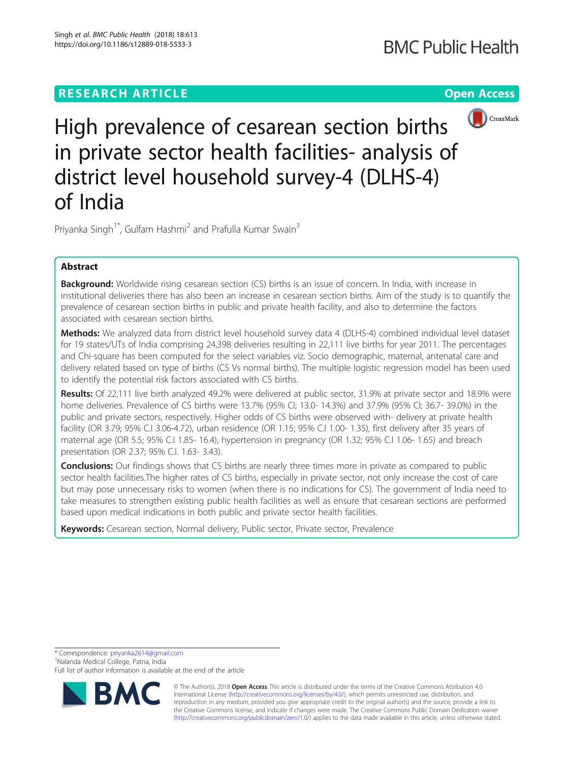# **RESEARCH ARTICLE Example 2018 12:30 The CONSTRUCTION CONSTRUCTION Open Access**



High prevalence of cesarean section births in private sector health facilities- analysis of district level household survey-4 (DLHS-4) of India

Priyanka Singh<sup>1\*</sup>, Gulfam Hashmi<sup>2</sup> and Prafulla Kumar Swain<sup>3</sup>

# Abstract

**Background:** Worldwide rising cesarean section (CS) births is an issue of concern. In India, with increase in institutional deliveries there has also been an increase in cesarean section births. Aim of the study is to quantify the prevalence of cesarean section births in public and private health facility, and also to determine the factors associated with cesarean section births.

Methods: We analyzed data from district level household survey data 4 (DLHS-4) combined individual level dataset for 19 states/UTs of India comprising 24,398 deliveries resulting in 22,111 live births for year 2011. The percentages and Chi-square has been computed for the select variables viz. Socio demographic, maternal, antenatal care and delivery related based on type of births (CS Vs normal births). The multiple logistic regression model has been used to identify the potential risk factors associated with CS births.

Results: Of 22,111 live birth analyzed 49.2% were delivered at public sector, 31.9% at private sector and 18.9% were home deliveries. Prevalence of CS births were 13.7% (95% CI; 13.0- 14.3%) and 37.9% (95% CI; 36.7- 39.0%) in the public and private sectors, respectively. Higher odds of CS births were observed with- delivery at private health facility (OR 3.79; 95% C.I 3.06-4.72), urban residence (OR 1.15; 95% C.I 1.00- 1.35), first delivery after 35 years of maternal age (OR 5.5; 95% C.I 1.85- 16.4), hypertension in pregnancy (OR 1.32; 95% C.I 1.06- 1.65) and breach presentation (OR 2.37; 95% C.I. 1.63- 3.43).

**Conclusions:** Our findings shows that CS births are nearly three times more in private as compared to public sector health facilities.The higher rates of CS births, especially in private sector, not only increase the cost of care but may pose unnecessary risks to women (when there is no indications for CS). The government of India need to take measures to strengthen existing public health facilities as well as ensure that cesarean sections are performed based upon medical indications in both public and private sector health facilities.

Keywords: Cesarean section, Normal delivery, Public sector, Private sector, Prevalence

\* Correspondence: [priyanka2614@gmail.com](mailto:priyanka2614@gmail.com) <sup>1</sup>

Nalanda Medical College, Patna, India

Full list of author information is available at the end of the article



© The Author(s). 2018 Open Access This article is distributed under the terms of the Creative Commons Attribution 4.0 International License [\(http://creativecommons.org/licenses/by/4.0/](http://creativecommons.org/licenses/by/4.0/)), which permits unrestricted use, distribution, and reproduction in any medium, provided you give appropriate credit to the original author(s) and the source, provide a link to the Creative Commons license, and indicate if changes were made. The Creative Commons Public Domain Dedication waiver [\(http://creativecommons.org/publicdomain/zero/1.0/](http://creativecommons.org/publicdomain/zero/1.0/)) applies to the data made available in this article, unless otherwise stated.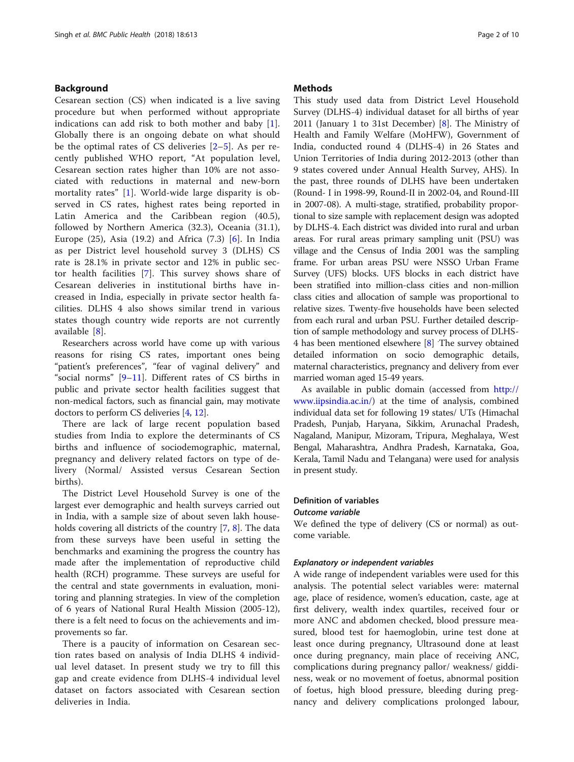# Background

Cesarean section (CS) when indicated is a live saving procedure but when performed without appropriate indications can add risk to both mother and baby [[1](#page-8-0)]. Globally there is an ongoing debate on what should be the optimal rates of CS deliveries  $[2-5]$  $[2-5]$  $[2-5]$  $[2-5]$ . As per recently published WHO report, "At population level, Cesarean section rates higher than 10% are not associated with reductions in maternal and new-born mortality rates" [[1\]](#page-8-0). World-wide large disparity is observed in CS rates, highest rates being reported in Latin America and the Caribbean region (40.5), followed by Northern America (32.3), Oceania (31.1), Europe (25), Asia (19.2) and Africa (7.3) [[6](#page-8-0)]. In India as per District level household survey 3 (DLHS) CS rate is 28.1% in private sector and 12% in public sector health facilities [[7\]](#page-8-0). This survey shows share of Cesarean deliveries in institutional births have increased in India, especially in private sector health facilities. DLHS 4 also shows similar trend in various states though country wide reports are not currently available [\[8](#page-8-0)].

Researchers across world have come up with various reasons for rising CS rates, important ones being "patient's preferences", "fear of vaginal delivery" and "social norms"  $[9-11]$  $[9-11]$  $[9-11]$  $[9-11]$ . Different rates of CS births in public and private sector health facilities suggest that non-medical factors, such as financial gain, may motivate doctors to perform CS deliveries [\[4,](#page-8-0) [12](#page-8-0)].

There are lack of large recent population based studies from India to explore the determinants of CS births and influence of sociodemographic, maternal, pregnancy and delivery related factors on type of delivery (Normal/ Assisted versus Cesarean Section births).

The District Level Household Survey is one of the largest ever demographic and health surveys carried out in India, with a sample size of about seven lakh households covering all districts of the country [\[7](#page-8-0), [8](#page-8-0)]. The data from these surveys have been useful in setting the benchmarks and examining the progress the country has made after the implementation of reproductive child health (RCH) programme. These surveys are useful for the central and state governments in evaluation, monitoring and planning strategies. In view of the completion of 6 years of National Rural Health Mission (2005-12), there is a felt need to focus on the achievements and improvements so far.

There is a paucity of information on Cesarean section rates based on analysis of India DLHS 4 individual level dataset. In present study we try to fill this gap and create evidence from DLHS-4 individual level dataset on factors associated with Cesarean section deliveries in India.

# **Methods**

This study used data from District Level Household Survey (DLHS-4) individual dataset for all births of year 2011 (January 1 to 31st December) [[8\]](#page-8-0). The Ministry of Health and Family Welfare (MoHFW), Government of India, conducted round 4 (DLHS-4) in 26 States and Union Territories of India during 2012-2013 (other than 9 states covered under Annual Health Survey, AHS). In the past, three rounds of DLHS have been undertaken (Round- I in 1998-99, Round-II in 2002-04, and Round-III in 2007-08). A multi-stage, stratified, probability proportional to size sample with replacement design was adopted by DLHS-4. Each district was divided into rural and urban areas. For rural areas primary sampling unit (PSU) was village and the Census of India 2001 was the sampling frame. For urban areas PSU were NSSO Urban Frame Survey (UFS) blocks. UFS blocks in each district have been stratified into million-class cities and non-million class cities and allocation of sample was proportional to relative sizes. Twenty-five households have been selected from each rural and urban PSU. Further detailed description of sample methodology and survey process of DLHS-4 has been mentioned elsewhere [\[8\]](#page-8-0) The survey obtained detailed information on socio demographic details, maternal characteristics, pregnancy and delivery from ever married woman aged 15-49 years.

As available in public domain (accessed from [http://](http://www.iipsindia.ac.in/) [www.iipsindia.ac.in/](http://www.iipsindia.ac.in/)) at the time of analysis, combined individual data set for following 19 states/ UTs (Himachal Pradesh, Punjab, Haryana, Sikkim, Arunachal Pradesh, Nagaland, Manipur, Mizoram, Tripura, Meghalaya, West Bengal, Maharashtra, Andhra Pradesh, Karnataka, Goa, Kerala, Tamil Nadu and Telangana) were used for analysis in present study.

# Definition of variables

# Outcome variable

We defined the type of delivery (CS or normal) as outcome variable.

## Explanatory or independent variables

A wide range of independent variables were used for this analysis. The potential select variables were: maternal age, place of residence, women's education, caste, age at first delivery, wealth index quartiles, received four or more ANC and abdomen checked, blood pressure measured, blood test for haemoglobin, urine test done at least once during pregnancy, Ultrasound done at least once during pregnancy, main place of receiving ANC, complications during pregnancy pallor/ weakness/ giddiness, weak or no movement of foetus, abnormal position of foetus, high blood pressure, bleeding during pregnancy and delivery complications prolonged labour,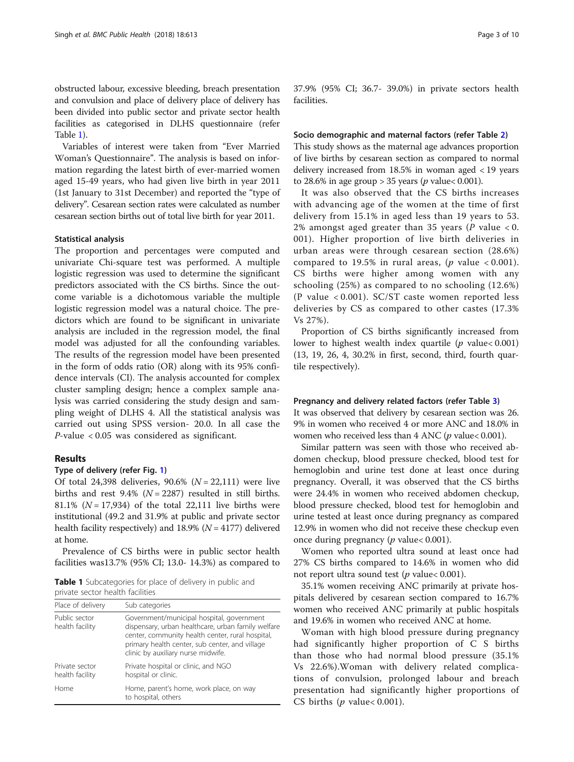obstructed labour, excessive bleeding, breach presentation and convulsion and place of delivery place of delivery has been divided into public sector and private sector health facilities as categorised in DLHS questionnaire (refer Table 1).

Variables of interest were taken from "Ever Married Woman's Questionnaire". The analysis is based on information regarding the latest birth of ever-married women aged 15-49 years, who had given live birth in year 2011 (1st January to 31st December) and reported the "type of delivery". Cesarean section rates were calculated as number cesarean section births out of total live birth for year 2011.

## Statistical analysis

The proportion and percentages were computed and univariate Chi-square test was performed. A multiple logistic regression was used to determine the significant predictors associated with the CS births. Since the outcome variable is a dichotomous variable the multiple logistic regression model was a natural choice. The predictors which are found to be significant in univariate analysis are included in the regression model, the final model was adjusted for all the confounding variables. The results of the regression model have been presented in the form of odds ratio (OR) along with its 95% confidence intervals (CI). The analysis accounted for complex cluster sampling design; hence a complex sample analysis was carried considering the study design and sampling weight of DLHS 4. All the statistical analysis was carried out using SPSS version- 20.0. In all case the P-value < 0.05 was considered as significant.

# Results

### Type of delivery (refer Fig. [1](#page-3-0))

Of total 24,398 deliveries,  $90.6\%$  ( $N = 22,111$ ) were live births and rest  $9.4\%$  (N = 2287) resulted in still births. 81.1% ( $N = 17,934$ ) of the total 22,111 live births were institutional (49.2 and 31.9% at public and private sector health facility respectively) and  $18.9\%$  ( $N = 4177$ ) delivered at home.

Prevalence of CS births were in public sector health facilities was13.7% (95% CI; 13.0- 14.3%) as compared to

Table 1 Subcategories for place of delivery in public and private sector health facilities

| Place of delivery                 | Sub categories                                                                                                                                                                                                                              |
|-----------------------------------|---------------------------------------------------------------------------------------------------------------------------------------------------------------------------------------------------------------------------------------------|
| Public sector<br>health facility  | Government/municipal hospital, government<br>dispensary, urban healthcare, urban family welfare<br>center, community health center, rural hospital,<br>primary health center, sub center, and village<br>clinic by auxiliary nurse midwife. |
| Private sector<br>health facility | Private hospital or clinic, and NGO<br>hospital or clinic.                                                                                                                                                                                  |
| Home                              | Home, parent's home, work place, on way<br>to hospital, others                                                                                                                                                                              |

### Socio demographic and maternal factors (refer Table [2\)](#page-3-0)

This study shows as the maternal age advances proportion of live births by cesarean section as compared to normal delivery increased from 18.5% in woman aged < 19 years to 28.6% in age group > 35 years ( $p$  value < 0.001).

It was also observed that the CS births increases with advancing age of the women at the time of first delivery from 15.1% in aged less than 19 years to 53. 2% amongst aged greater than 35 years (P value  $< 0$ . 001). Higher proportion of live birth deliveries in urban areas were through cesarean section (28.6%) compared to 19.5% in rural areas, ( $p$  value < 0.001). CS births were higher among women with any schooling (25%) as compared to no schooling (12.6%) (P value < 0.001). SC/ST caste women reported less deliveries by CS as compared to other castes (17.3% Vs 27%).

Proportion of CS births significantly increased from lower to highest wealth index quartile ( $p$  value < 0.001) (13, 19, 26, 4, 30.2% in first, second, third, fourth quartile respectively).

### Pregnancy and delivery related factors (refer Table [3](#page-4-0))

It was observed that delivery by cesarean section was 26. 9% in women who received 4 or more ANC and 18.0% in women who received less than 4 ANC ( $p$  value < 0.001).

Similar pattern was seen with those who received abdomen checkup, blood pressure checked, blood test for hemoglobin and urine test done at least once during pregnancy. Overall, it was observed that the CS births were 24.4% in women who received abdomen checkup, blood pressure checked, blood test for hemoglobin and urine tested at least once during pregnancy as compared 12.9% in women who did not receive these checkup even once during pregnancy ( $p$  value< 0.001).

Women who reported ultra sound at least once had 27% CS births compared to 14.6% in women who did not report ultra sound test ( $p$  value< 0.001).

35.1% women receiving ANC primarily at private hospitals delivered by cesarean section compared to 16.7% women who received ANC primarily at public hospitals and 19.6% in women who received ANC at home.

Woman with high blood pressure during pregnancy had significantly higher proportion of C S births than those who had normal blood pressure (35.1% Vs 22.6%).Woman with delivery related complications of convulsion, prolonged labour and breach presentation had significantly higher proportions of CS births ( $p$  value < 0.001).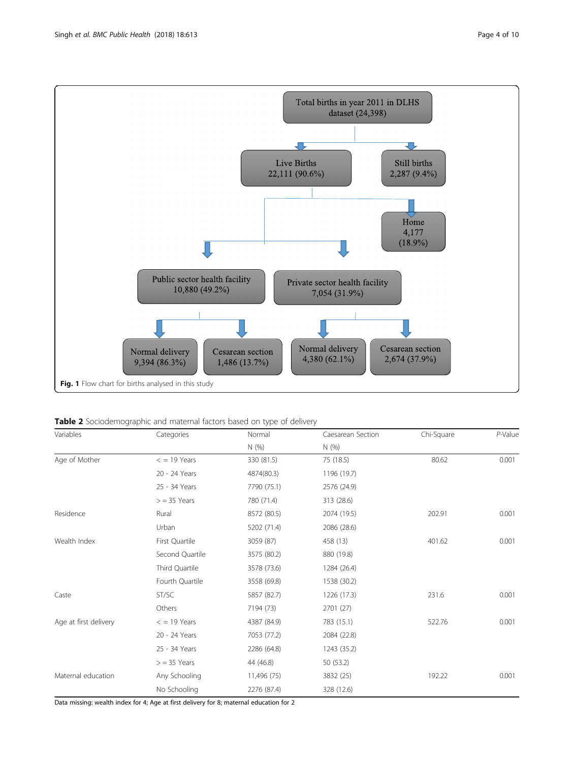<span id="page-3-0"></span>

| Table 2 Sociodemographic and maternal factors based on type of delivery |  |
|-------------------------------------------------------------------------|--|
|-------------------------------------------------------------------------|--|

| Variables             | Categories      | Normal      | Caesarean Section | Chi-Square | P-Value |
|-----------------------|-----------------|-------------|-------------------|------------|---------|
|                       |                 | N (%)       | N (%)             |            |         |
| Age of Mother         | $<$ = 19 Years  | 330 (81.5)  | 75 (18.5)         | 80.62      | 0.001   |
|                       | 20 - 24 Years   | 4874(80.3)  | 1196 (19.7)       |            |         |
|                       | 25 - 34 Years   | 7790 (75.1) | 2576 (24.9)       |            |         |
|                       | $>$ = 35 Years  | 780 (71.4)  | 313 (28.6)        |            |         |
| Residence             | Rural           | 8572 (80.5) | 2074 (19.5)       | 202.91     | 0.001   |
|                       | Urban           | 5202 (71.4) | 2086 (28.6)       |            |         |
| Wealth Index          | First Quartile  | 3059 (87)   | 458 (13)          | 401.62     | 0.001   |
|                       | Second Quartile | 3575 (80.2) | 880 (19.8)        |            |         |
|                       | Third Quartile  | 3578 (73.6) | 1284 (26.4)       |            |         |
|                       | Fourth Quartile | 3558 (69.8) | 1538 (30.2)       |            |         |
| Caste                 | ST/SC           | 5857 (82.7) | 1226 (17.3)       | 231.6      | 0.001   |
|                       | Others          | 7194 (73)   | 2701 (27)         |            |         |
| Age at first delivery | $<$ = 19 Years  | 4387 (84.9) | 783 (15.1)        | 522.76     | 0.001   |
|                       | 20 - 24 Years   | 7053 (77.2) | 2084 (22.8)       |            |         |
|                       | 25 - 34 Years   | 2286 (64.8) | 1243 (35.2)       |            |         |
|                       | $>$ = 35 Years  | 44 (46.8)   | 50 (53.2)         |            |         |
| Maternal education    | Any Schooling   | 11,496 (75) | 3832 (25)         | 192.22     | 0.001   |
|                       | No Schooling    | 2276 (87.4) | 328 (12.6)        |            |         |

Data missing: wealth index for 4; Age at first delivery for 8; maternal education for 2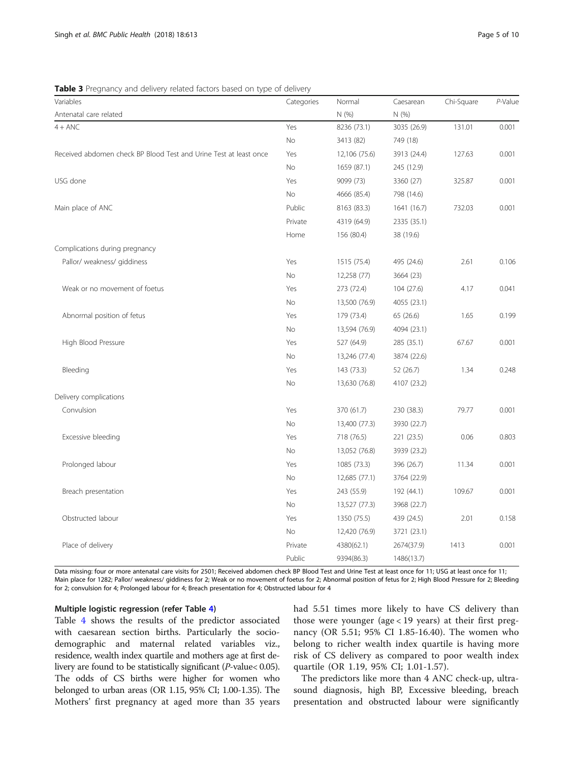<span id="page-4-0"></span>Table 3 Pregnancy and delivery related factors based on type of delivery

| Variables                                                         | Categories | Normal        | Caesarean                                                                                                                                                                                                                                                          | Chi-Square | P-Value |
|-------------------------------------------------------------------|------------|---------------|--------------------------------------------------------------------------------------------------------------------------------------------------------------------------------------------------------------------------------------------------------------------|------------|---------|
| Antenatal care related                                            |            | N (%)         | N (%)                                                                                                                                                                                                                                                              |            |         |
| $4 + ANC$                                                         | Yes        | 8236 (73.1)   | 3035 (26.9)                                                                                                                                                                                                                                                        | 131.01     | 0.001   |
|                                                                   | No         | 3413 (82)     | 749 (18)                                                                                                                                                                                                                                                           |            |         |
| Received abdomen check BP Blood Test and Urine Test at least once | Yes        | 12,106 (75.6) | 3913 (24.4)                                                                                                                                                                                                                                                        | 127.63     | 0.001   |
|                                                                   | No         | 1659 (87.1)   | 245 (12.9)                                                                                                                                                                                                                                                         |            |         |
| USG done                                                          | Yes        | 9099 (73)     | 3360 (27)                                                                                                                                                                                                                                                          | 325.87     | 0.001   |
|                                                                   | No         | 4666 (85.4)   | 798 (14.6)                                                                                                                                                                                                                                                         |            |         |
| Main place of ANC                                                 | Public     | 8163 (83.3)   | 1641 (16.7)                                                                                                                                                                                                                                                        | 732.03     | 0.001   |
|                                                                   | Private    | 4319 (64.9)   | 2335 (35.1)                                                                                                                                                                                                                                                        |            |         |
|                                                                   | Home       | 156 (80.4)    | 38 (19.6)                                                                                                                                                                                                                                                          |            |         |
| Complications during pregnancy                                    |            |               |                                                                                                                                                                                                                                                                    |            |         |
| Pallor/ weakness/ giddiness                                       | Yes        | 1515 (75.4)   | 495 (24.6)                                                                                                                                                                                                                                                         | 2.61       | 0.106   |
|                                                                   | No         | 12,258 (77)   | 3664 (23)                                                                                                                                                                                                                                                          |            |         |
| Weak or no movement of foetus                                     | Yes        | 273 (72.4)    | 104 (27.6)                                                                                                                                                                                                                                                         | 4.17       | 0.041   |
|                                                                   | No         | 13,500 (76.9) | 4055 (23.1)                                                                                                                                                                                                                                                        |            |         |
| Abnormal position of fetus                                        | Yes        | 179 (73.4)    | 65 (26.6)                                                                                                                                                                                                                                                          | 1.65       | 0.199   |
|                                                                   | No         | 13,594 (76.9) | 4094 (23.1)                                                                                                                                                                                                                                                        |            |         |
| High Blood Pressure                                               | Yes        | 527 (64.9)    | 285 (35.1)                                                                                                                                                                                                                                                         | 67.67      | 0.001   |
|                                                                   | No         | 13,246 (77.4) | 3874 (22.6)<br>52 (26.7)<br>1.34<br>4107 (23.2)<br>79.77<br>230 (38.3)<br>3930 (22.7)<br>221 (23.5)<br>0.06<br>3939 (23.2)<br>396 (26.7)<br>11.34<br>3764 (22.9)<br>109.67<br>192 (44.1)<br>3968 (22.7)<br>2.01<br>439 (24.5)<br>3721 (23.1)<br>2674(37.9)<br>1413 |            |         |
| Bleeding                                                          | Yes        | 143 (73.3)    |                                                                                                                                                                                                                                                                    |            | 0.248   |
|                                                                   | No         | 13,630 (76.8) |                                                                                                                                                                                                                                                                    |            |         |
| Delivery complications                                            |            |               |                                                                                                                                                                                                                                                                    |            |         |
| Convulsion                                                        | Yes        | 370 (61.7)    |                                                                                                                                                                                                                                                                    |            | 0.001   |
|                                                                   | No         | 13,400 (77.3) |                                                                                                                                                                                                                                                                    |            |         |
| Excessive bleeding                                                | Yes        | 718 (76.5)    |                                                                                                                                                                                                                                                                    |            | 0.803   |
|                                                                   | No         | 13,052 (76.8) |                                                                                                                                                                                                                                                                    |            |         |
| Prolonged labour                                                  | Yes        | 1085 (73.3)   |                                                                                                                                                                                                                                                                    |            | 0.001   |
|                                                                   | No         | 12,685 (77.1) |                                                                                                                                                                                                                                                                    |            |         |
| Breach presentation                                               | Yes        | 243 (55.9)    |                                                                                                                                                                                                                                                                    |            | 0.001   |
|                                                                   | No         | 13,527 (77.3) |                                                                                                                                                                                                                                                                    |            |         |
| Obstructed labour                                                 | Yes        | 1350 (75.5)   |                                                                                                                                                                                                                                                                    |            | 0.158   |
|                                                                   | No         | 12,420 (76.9) |                                                                                                                                                                                                                                                                    |            |         |
| Place of delivery                                                 | Private    | 4380(62.1)    |                                                                                                                                                                                                                                                                    |            | 0.001   |
|                                                                   | Public     | 9394(86.3)    | 1486(13.7)                                                                                                                                                                                                                                                         |            |         |

Data missing: four or more antenatal care visits for 2501; Received abdomen check BP Blood Test and Urine Test at least once for 11; USG at least once for 11; Main place for 1282; Pallor/ weakness/ giddiness for 2; Weak or no movement of foetus for 2; Abnormal position of fetus for 2; High Blood Pressure for 2; Bleeding for 2; convulsion for 4; Prolonged labour for 4; Breach presentation for 4; Obstructed labour for 4

### Multiple logistic regression (refer Table [4\)](#page-5-0)

Table [4](#page-5-0) shows the results of the predictor associated with caesarean section births. Particularly the sociodemographic and maternal related variables viz., residence, wealth index quartile and mothers age at first delivery are found to be statistically significant (P-value< 0.05). The odds of CS births were higher for women who belonged to urban areas (OR 1.15, 95% CI; 1.00-1.35). The Mothers' first pregnancy at aged more than 35 years had 5.51 times more likely to have CS delivery than those were younger (age < 19 years) at their first pregnancy (OR 5.51; 95% CI 1.85-16.40). The women who belong to richer wealth index quartile is having more risk of CS delivery as compared to poor wealth index quartile (OR 1.19, 95% CI; 1.01-1.57).

The predictors like more than 4 ANC check-up, ultrasound diagnosis, high BP, Excessive bleeding, breach presentation and obstructed labour were significantly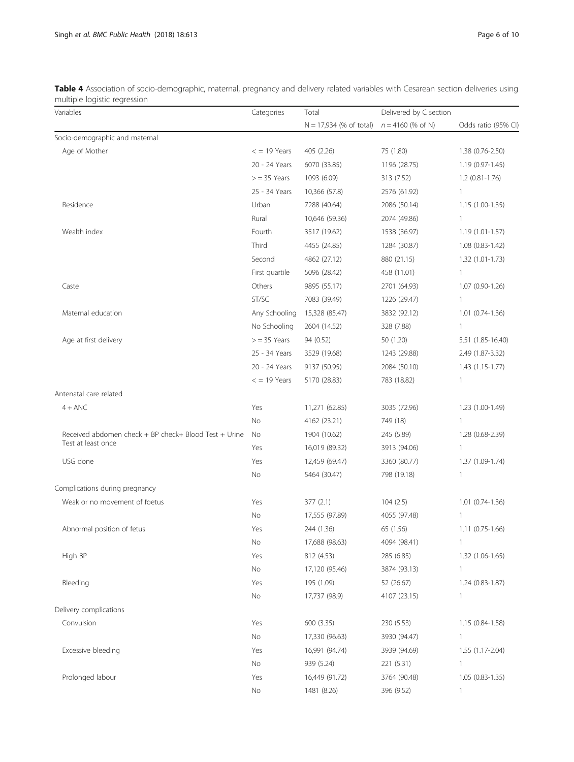<span id="page-5-0"></span>Table 4 Association of socio-demographic, maternal, pregnancy and delivery related variables with Cesarean section deliveries using multiple logistic regression

| Variables                                                                   | Categories     | Total                     | Delivered by C section |                     |
|-----------------------------------------------------------------------------|----------------|---------------------------|------------------------|---------------------|
|                                                                             |                | $N = 17,934$ (% of total) | $n = 4160$ (% of N)    | Odds ratio (95% CI) |
| Socio-demographic and maternal                                              |                |                           |                        |                     |
| Age of Mother                                                               | $<$ = 19 Years | 405 (2.26)                | 75 (1.80)              | 1.38 (0.76-2.50)    |
|                                                                             | 20 - 24 Years  | 6070 (33.85)              | 1196 (28.75)           | $1.19(0.97-1.45)$   |
|                                                                             | $>$ = 35 Years | 1093 (6.09)               | 313 (7.52)             | $1.2$ (0.81-1.76)   |
|                                                                             | 25 - 34 Years  | 10,366 (57.8)             | 2576 (61.92)           | $\mathbf{1}$        |
| Residence                                                                   | Urban          | 7288 (40.64)              | 2086 (50.14)           | 1.15 (1.00-1.35)    |
|                                                                             | Rural          | 10,646 (59.36)            | 2074 (49.86)           | $\mathbf{1}$        |
| Wealth index                                                                | Fourth         | 3517 (19.62)              | 1538 (36.97)           | $1.19(1.01-1.57)$   |
|                                                                             | Third          | 4455 (24.85)              | 1284 (30.87)           | $1.08(0.83-1.42)$   |
|                                                                             | Second         | 4862 (27.12)              | 880 (21.15)            | 1.32 (1.01-1.73)    |
|                                                                             | First quartile | 5096 (28.42)              | 458 (11.01)            | $\mathbf{1}$        |
| Caste                                                                       | Others         | 9895 (55.17)              | 2701 (64.93)           | 1.07 (0.90-1.26)    |
|                                                                             | ST/SC          | 7083 (39.49)              | 1226 (29.47)           | 1                   |
| Maternal education                                                          | Any Schooling  | 15,328 (85.47)            | 3832 (92.12)           | 1.01 (0.74-1.36)    |
|                                                                             | No Schooling   | 2604 (14.52)              | 328 (7.88)             | $\mathbf{1}$        |
| Age at first delivery                                                       | $>$ = 35 Years | 94 (0.52)                 | 50 (1.20)              | 5.51 (1.85-16.40)   |
|                                                                             | 25 - 34 Years  | 3529 (19.68)              | 1243 (29.88)           | 2.49 (1.87-3.32)    |
|                                                                             |                |                           |                        |                     |
|                                                                             | 20 - 24 Years  | 9137 (50.95)              | 2084 (50.10)           | $1.43(1.15-1.77)$   |
|                                                                             | $<$ = 19 Years | 5170 (28.83)              | 783 (18.82)            | 1                   |
| Antenatal care related                                                      |                |                           |                        |                     |
| $4 + ANC$                                                                   | Yes            | 11,271 (62.85)            | 3035 (72.96)           | 1.23 (1.00-1.49)    |
|                                                                             | No             | 4162 (23.21)              | 749 (18)               | $\mathbf{1}$        |
| Received abdomen check + BP check+ Blood Test + Urine<br>Test at least once | No             | 1904 (10.62)              | 245 (5.89)             | 1.28 (0.68-2.39)    |
|                                                                             | Yes            | 16,019 (89.32)            | 3913 (94.06)           | $\mathbf{1}$        |
| USG done                                                                    | Yes            | 12,459 (69.47)            | 3360 (80.77)           | 1.37 (1.09-1.74)    |
|                                                                             | No             | 5464 (30.47)              | 798 (19.18)            | $\mathbf{1}$        |
| Complications during pregnancy                                              |                |                           |                        |                     |
| Weak or no movement of foetus                                               | Yes            | 377(2.1)                  | 104(2.5)               | 1.01 (0.74-1.36)    |
|                                                                             | No             | 17,555 (97.89)            | 4055 (97.48)           | 1                   |
| Abnormal position of fetus                                                  | Yes            | 244 (1.36)                | 65 (1.56)              | 1.11 (0.75-1.66)    |
|                                                                             | No             | 17,688 (98.63)            | 4094 (98.41)           | $\mathbf{1}$        |
| High BP                                                                     | Yes            | 812 (4.53)                | 285 (6.85)             | 1.32 (1.06-1.65)    |
|                                                                             | No             | 17,120 (95.46)            | 3874 (93.13)           | $\mathbf{1}$        |
| Bleeding                                                                    | Yes            | 195 (1.09)                | 52 (26.67)             | 1.24 (0.83-1.87)    |
|                                                                             | No             | 17,737 (98.9)             | 4107 (23.15)           | $\mathbf{1}$        |
| Delivery complications                                                      |                |                           |                        |                     |
| Convulsion                                                                  | Yes            | 600 (3.35)                | 230 (5.53)             | 1.15 (0.84-1.58)    |
|                                                                             | No             | 17,330 (96.63)            | 3930 (94.47)           | 1                   |
| Excessive bleeding                                                          | Yes            | 16,991 (94.74)            | 3939 (94.69)           | $1.55(1.17-2.04)$   |
|                                                                             | No             | 939 (5.24)                | 221 (5.31)             | $\mathbf{1}$        |
| Prolonged labour                                                            | Yes            | 16,449 (91.72)            | 3764 (90.48)           | $1.05(0.83-1.35)$   |
|                                                                             | No             | 1481 (8.26)               | 396 (9.52)             | $\mathbf{1}$        |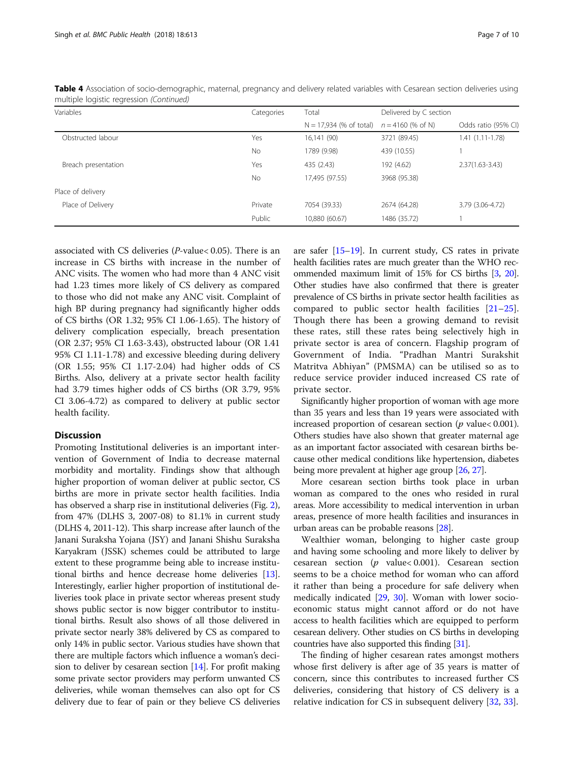| Variables           | Categories | Total                     | Delivered by C section |                     |
|---------------------|------------|---------------------------|------------------------|---------------------|
|                     |            | $N = 17,934$ (% of total) | $n = 4160$ (% of N)    | Odds ratio (95% CI) |
| Obstructed labour   | Yes        | 16,141 (90)               | 3721 (89.45)           | $1.41(1.11-1.78)$   |
|                     | <b>No</b>  | 1789 (9.98)               | 439 (10.55)            |                     |
| Breach presentation | Yes        | 435 (2.43)                | 192 (4.62)             | $2.37(1.63 - 3.43)$ |
|                     | No         | 17,495 (97.55)            | 3968 (95.38)           |                     |
| Place of delivery   |            |                           |                        |                     |
| Place of Delivery   | Private    | 7054 (39.33)              | 2674 (64.28)           | 3.79 (3.06-4.72)    |
|                     | Public     | 10,880 (60.67)            | 1486 (35.72)           |                     |

Table 4 Association of socio-demographic, maternal, pregnancy and delivery related variables with Cesarean section deliveries using multiple logistic regression (Continued)

associated with CS deliveries (P-value< 0.05). There is an increase in CS births with increase in the number of ANC visits. The women who had more than 4 ANC visit had 1.23 times more likely of CS delivery as compared to those who did not make any ANC visit. Complaint of high BP during pregnancy had significantly higher odds of CS births (OR 1.32; 95% CI 1.06-1.65). The history of delivery complication especially, breach presentation (OR 2.37; 95% CI 1.63-3.43), obstructed labour (OR 1.41 95% CI 1.11-1.78) and excessive bleeding during delivery (OR 1.55; 95% CI 1.17-2.04) had higher odds of CS Births. Also, delivery at a private sector health facility had 3.79 times higher odds of CS births (OR 3.79, 95% CI 3.06-4.72) as compared to delivery at public sector health facility.

# **Discussion**

Promoting Institutional deliveries is an important intervention of Government of India to decrease maternal morbidity and mortality. Findings show that although higher proportion of woman deliver at public sector, CS births are more in private sector health facilities. India has observed a sharp rise in institutional deliveries (Fig. [2](#page-7-0)), from 47% (DLHS 3, 2007-08) to 81.1% in current study (DLHS 4, 2011-12). This sharp increase after launch of the Janani Suraksha Yojana (JSY) and Janani Shishu Suraksha Karyakram (JSSK) schemes could be attributed to large extent to these programme being able to increase institutional births and hence decrease home deliveries [[13](#page-8-0)]. Interestingly, earlier higher proportion of institutional deliveries took place in private sector whereas present study shows public sector is now bigger contributor to institutional births. Result also shows of all those delivered in private sector nearly 38% delivered by CS as compared to only 14% in public sector. Various studies have shown that there are multiple factors which influence a woman's decision to deliver by cesarean section  $[14]$ . For profit making some private sector providers may perform unwanted CS deliveries, while woman themselves can also opt for CS delivery due to fear of pain or they believe CS deliveries

are safer  $[15-19]$  $[15-19]$  $[15-19]$  $[15-19]$ . In current study, CS rates in private health facilities rates are much greater than the WHO recommended maximum limit of 15% for CS births [\[3,](#page-8-0) [20](#page-8-0)]. Other studies have also confirmed that there is greater prevalence of CS births in private sector health facilities as compared to public sector health facilities [\[21](#page-8-0)–[25](#page-8-0)]. Though there has been a growing demand to revisit these rates, still these rates being selectively high in private sector is area of concern. Flagship program of Government of India. "Pradhan Mantri Surakshit Matritva Abhiyan" (PMSMA) can be utilised so as to reduce service provider induced increased CS rate of private sector.

Significantly higher proportion of woman with age more than 35 years and less than 19 years were associated with increased proportion of cesarean section ( $p$  value < 0.001). Others studies have also shown that greater maternal age as an important factor associated with cesarean births because other medical conditions like hypertension, diabetes being more prevalent at higher age group [[26](#page-8-0), [27\]](#page-8-0).

More cesarean section births took place in urban woman as compared to the ones who resided in rural areas. More accessibility to medical intervention in urban areas, presence of more health facilities and insurances in urban areas can be probable reasons [[28](#page-8-0)].

Wealthier woman, belonging to higher caste group and having some schooling and more likely to deliver by cesarean section ( $p$  value < 0.001). Cesarean section seems to be a choice method for woman who can afford it rather than being a procedure for safe delivery when medically indicated [\[29](#page-8-0), [30](#page-8-0)]. Woman with lower socioeconomic status might cannot afford or do not have access to health facilities which are equipped to perform cesarean delivery. Other studies on CS births in developing countries have also supported this finding [\[31\]](#page-8-0).

The finding of higher cesarean rates amongst mothers whose first delivery is after age of 35 years is matter of concern, since this contributes to increased further CS deliveries, considering that history of CS delivery is a relative indication for CS in subsequent delivery [[32,](#page-9-0) [33\]](#page-9-0).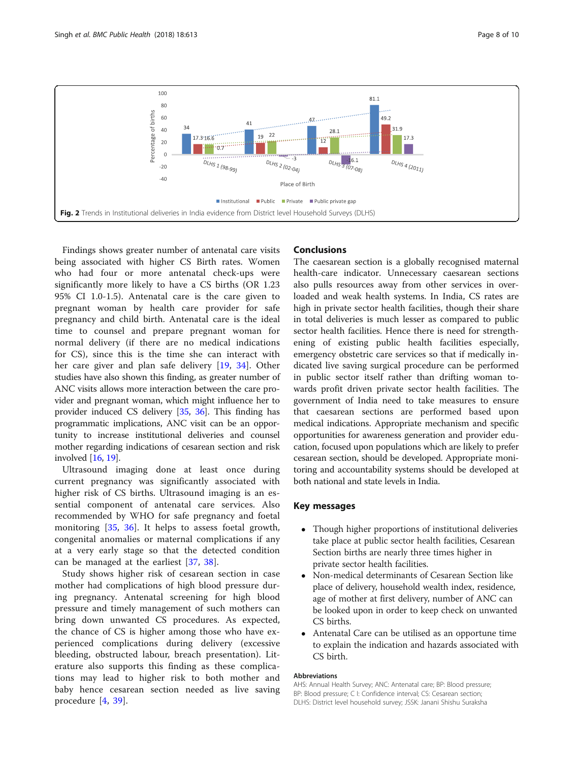<span id="page-7-0"></span>

Findings shows greater number of antenatal care visits being associated with higher CS Birth rates. Women who had four or more antenatal check-ups were significantly more likely to have a CS births (OR 1.23 95% CI 1.0-1.5). Antenatal care is the care given to pregnant woman by health care provider for safe pregnancy and child birth. Antenatal care is the ideal time to counsel and prepare pregnant woman for normal delivery (if there are no medical indications for CS), since this is the time she can interact with her care giver and plan safe delivery [[19](#page-8-0), [34](#page-9-0)]. Other studies have also shown this finding, as greater number of ANC visits allows more interaction between the care provider and pregnant woman, which might influence her to provider induced CS delivery [\[35,](#page-9-0) [36](#page-9-0)]. This finding has programmatic implications, ANC visit can be an opportunity to increase institutional deliveries and counsel mother regarding indications of cesarean section and risk involved [\[16,](#page-8-0) [19\]](#page-8-0).

Ultrasound imaging done at least once during current pregnancy was significantly associated with higher risk of CS births. Ultrasound imaging is an essential component of antenatal care services. Also recommended by WHO for safe pregnancy and foetal monitoring [[35,](#page-9-0) [36](#page-9-0)]. It helps to assess foetal growth, congenital anomalies or maternal complications if any at a very early stage so that the detected condition can be managed at the earliest [[37,](#page-9-0) [38\]](#page-9-0).

Study shows higher risk of cesarean section in case mother had complications of high blood pressure during pregnancy. Antenatal screening for high blood pressure and timely management of such mothers can bring down unwanted CS procedures. As expected, the chance of CS is higher among those who have experienced complications during delivery (excessive bleeding, obstructed labour, breach presentation). Literature also supports this finding as these complications may lead to higher risk to both mother and baby hence cesarean section needed as live saving procedure [[4](#page-8-0), [39](#page-9-0)].

# Conclusions

The caesarean section is a globally recognised maternal health-care indicator. Unnecessary caesarean sections also pulls resources away from other services in overloaded and weak health systems. In India, CS rates are high in private sector health facilities, though their share in total deliveries is much lesser as compared to public sector health facilities. Hence there is need for strengthening of existing public health facilities especially, emergency obstetric care services so that if medically indicated live saving surgical procedure can be performed in public sector itself rather than drifting woman towards profit driven private sector health facilities. The government of India need to take measures to ensure that caesarean sections are performed based upon medical indications. Appropriate mechanism and specific opportunities for awareness generation and provider education, focused upon populations which are likely to prefer cesarean section, should be developed. Appropriate monitoring and accountability systems should be developed at both national and state levels in India.

# Key messages

- Though higher proportions of institutional deliveries take place at public sector health facilities, Cesarean Section births are nearly three times higher in private sector health facilities.
- Non-medical determinants of Cesarean Section like place of delivery, household wealth index, residence, age of mother at first delivery, number of ANC can be looked upon in order to keep check on unwanted CS births.
- Antenatal Care can be utilised as an opportune time to explain the indication and hazards associated with CS birth.

#### Abbreviations

AHS: Annual Health Survey; ANC: Antenatal care; BP: Blood pressure; BP: Blood pressure; C I: Confidence interval; CS: Cesarean section; DLHS: District level household survey; JSSK: Janani Shishu Suraksha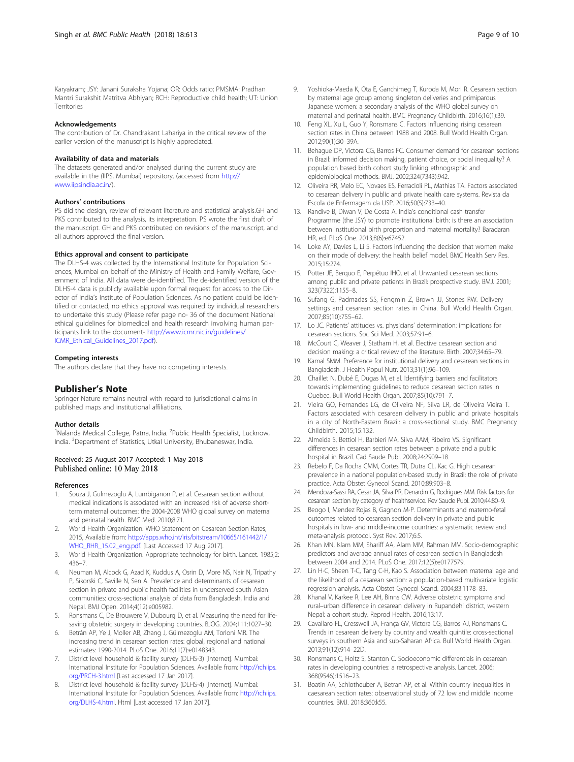<span id="page-8-0"></span>Karyakram; JSY: Janani Suraksha Yojana; OR: Odds ratio; PMSMA: Pradhan Mantri Surakshit Matritva Abhiyan; RCH: Reproductive child health; UT: Union Territories

#### Acknowledgements

The contribution of Dr. Chandrakant Lahariya in the critical review of the earlier version of the manuscript is highly appreciated.

#### Availability of data and materials

The datasets generated and/or analysed during the current study are available in the (IIPS, Mumbai) repository, (accessed from [http://](http://www.iipsindia.ac.in) [www.iipsindia.ac.in](http://www.iipsindia.ac.in)/).

#### Authors' contributions

PS did the design, review of relevant literature and statistical analysis.GH and PKS contributed to the analysis, its interpretation. PS wrote the first draft of the manuscript. GH and PKS contributed on revisions of the manuscript, and all authors approved the final version.

### Ethics approval and consent to participate

The DLHS-4 was collected by the International Institute for Population Sciences, Mumbai on behalf of the Ministry of Health and Family Welfare, Government of India. All data were de-identified. The de-identified version of the DLHS-4 data is publicly available upon formal request for access to the Director of India's Institute of Population Sciences. As no patient could be identified or contacted, no ethics approval was required by individual researchers to undertake this study (Please refer page no- 36 of the document National ethical guidelines for biomedical and health research involving human participants link to the document- [http://www.icmr.nic.in/guidelines/](http://www.icmr.nic.in/guidelines/ICMR_Ethical_Guidelines_2017.pdf) [ICMR\\_Ethical\\_Guidelines\\_2017.pdf\)](http://www.icmr.nic.in/guidelines/ICMR_Ethical_Guidelines_2017.pdf).

#### Competing interests

The authors declare that they have no competing interests.

# Publisher's Note

Springer Nature remains neutral with regard to jurisdictional claims in published maps and institutional affiliations.

### Author details

<sup>1</sup>Nalanda Medical College, Patna, India. <sup>2</sup>Public Health Specialist, Lucknow, India. <sup>3</sup>Department of Statistics, Utkal University, Bhubaneswar, India.

# Received: 25 August 2017 Accepted: 1 May 2018 Published online: 10 May 2018

#### References

- 1. Souza J, Gulmezoglu A, Lumbiganon P, et al. Cesarean section without medical indications is associated with an increased risk of adverse shortterm maternal outcomes: the 2004-2008 WHO global survey on maternal and perinatal health. BMC Med. 2010;8:71.
- 2. World Health Organization. WHO Statement on Cesarean Section Rates, 2015, Available from: [http://apps.who.int/iris/bitstream/10665/161442/1/](http://apps.who.int/iris/bitstream/10665/161442/1/WHO_RHR_15.02_eng.pdf) [WHO\\_RHR\\_15.02\\_eng.pdf.](http://apps.who.int/iris/bitstream/10665/161442/1/WHO_RHR_15.02_eng.pdf) [Last Accessed 17 Aug 2017].
- 3. World Health Organization. Appropriate technology for birth. Lancet. 1985;2: 436–7.
- 4. Neuman M, Alcock G, Azad K, Kuddus A, Osrin D, More NS, Nair N, Tripathy P, Sikorski C, Saville N, Sen A. Prevalence and determinants of cesarean section in private and public health facilities in underserved south Asian communities: cross-sectional analysis of data from Bangladesh, India and Nepal. BMJ Open. 2014;4(12):e005982.
- Ronsmans C, De Brouwere V, Dubourg D, et al. Measuring the need for lifesaving obstetric surgery in developing countries. BJOG. 2004;111:1027–30.
- 6. Betrán AP, Ye J, Moller AB, Zhang J, Gülmezoglu AM, Torloni MR. The increasing trend in cesarean section rates: global, regional and national estimates: 1990-2014. PLoS One. 2016;11(2):e0148343.
- 7. District level household & facility survey (DLHS-3) [Internet]. Mumbai: International Institute for Population Sciences. Available from: [http://rchiips.](http://rchiips.org/PRCH-3.html) [org/PRCH-3.html](http://rchiips.org/PRCH-3.html) [Last accessed 17 Jan 2017].
- 8. District level household & facility survey (DLHS-4) [Internet]. Mumbai: International Institute for Population Sciences. Available from: [http://rchiips.](http://rchiips.org/DLHS-4.html) [org/DLHS-4.html](http://rchiips.org/DLHS-4.html). Html [Last accessed 17 Jan 2017].
- 9. Yoshioka-Maeda K, Ota E, Ganchimeg T, Kuroda M, Mori R. Cesarean section by maternal age group among singleton deliveries and primiparous Japanese women: a secondary analysis of the WHO global survey on maternal and perinatal health. BMC Pregnancy Childbirth. 2016;16(1):39.
- 10. Feng XL, Xu L, Guo Y, Ronsmans C. Factors influencing rising cesarean section rates in China between 1988 and 2008. Bull World Health Organ. 2012;90(1):30–39A.
- 11. Behague DP, Victora CG, Barros FC. Consumer demand for cesarean sections in Brazil: informed decision making, patient choice, or social inequality? A population based birth cohort study linking ethnographic and epidemiological methods. BMJ. 2002;324(7343):942.
- 12. Oliveira RR, Melo EC, Novaes ES, Ferracioli PL, Mathias TA. Factors associated to cesarean delivery in public and private health care systems. Revista da Escola de Enfermagem da USP. 2016;50(5):733–40.
- 13. Randive B, Diwan V, De Costa A. India's conditional cash transfer Programme (the JSY) to promote institutional birth: is there an association between institutional birth proportion and maternal mortality? Baradaran HR, ed. PLoS One. 2013;8(6):e67452.
- 14. Loke AY, Davies L, Li S. Factors influencing the decision that women make on their mode of delivery: the health belief model. BMC Health Serv Res. 2015;15:274.
- 15. Potter JE, Berquo E, Perpétuo IHO, et al. Unwanted cesarean sections among public and private patients in Brazil: prospective study. BMJ. 2001; 323(7322):1155–8.
- 16. Sufang G, Padmadas SS, Fengmin Z, Brown JJ, Stones RW. Delivery settings and cesarean section rates in China. Bull World Health Organ. 2007;85(10):755–62.
- 17. Lo JC. Patients' attitudes vs. physicians' determination: implications for cesarean sections. Soc Sci Med. 2003;57:91–6.
- 18. McCourt C, Weaver J, Statham H, et al. Elective cesarean section and decision making: a critical review of the literature. Birth. 2007;34:65–79.
- 19. Kamal SMM. Preference for institutional delivery and cesarean sections in Bangladesh. J Health Popul Nutr. 2013;31(1):96–109.
- 20. Chaillet N, Dubé E, Dugas M, et al. Identifying barriers and facilitators towards implementing guidelines to reduce cesarean section rates in Quebec. Bull World Health Organ. 2007;85(10):791–7.
- 21. Vieira GO, Fernandes LG, de Oliveira NF, Silva LR, de Oliveira Vieira T. Factors associated with cesarean delivery in public and private hospitals in a city of North-Eastern Brazil: a cross-sectional study. BMC Pregnancy Childbirth. 2015;15:132.
- 22. Almeida S, Bettiol H, Barbieri MA, Silva AAM, Ribeiro VS. Significant differences in cesarean section rates between a private and a public hospital in Brazil. Cad Saude Publ. 2008;24:2909–18.
- 23. Rebelo F, Da Rocha CMM, Cortes TR, Dutra CL, Kac G. High cesarean prevalence in a national population-based study in Brazil: the role of private practice. Acta Obstet Gynecol Scand. 2010;89:903–8.
- 24. Mendoza-Sassi RA, Cesar JA, Silva PR, Denardin G, Rodrigues MM. Risk factors for cesarean section by category of healthservice. Rev Saude Publ. 2010;44:80–9.
- 25. Beogo I, Mendez Rojas B, Gagnon M-P. Determinants and materno-fetal outcomes related to cesarean section delivery in private and public hospitals in low- and middle-income countries: a systematic review and meta-analysis protocol. Syst Rev. 2017;6:5.
- 26. Khan MN, Islam MM, Shariff AA, Alam MM, Rahman MM. Socio-demographic predictors and average annual rates of cesarean section in Bangladesh between 2004 and 2014. PLoS One. 2017;12(5):e0177579.
- 27. Lin H-C, Sheen T-C, Tang C-H, Kao S. Association between maternal age and the likelihood of a cesarean section: a population-based multivariate logistic regression analysis. Acta Obstet Gynecol Scand. 2004;83:1178–83.
- 28. Khanal V, Karkee R, Lee AH, Binns CW. Adverse obstetric symptoms and rural–urban difference in cesarean delivery in Rupandehi district, western Nepal: a cohort study. Reprod Health. 2016;13:17.
- 29. Cavallaro FL, Cresswell JA, França GV, Victora CG, Barros AJ, Ronsmans C. Trends in cesarean delivery by country and wealth quintile: cross-sectional surveys in southern Asia and sub-Saharan Africa. Bull World Health Organ. 2013;91(12):914–22D.
- 30. Ronsmans C, Holtz S, Stanton C. Socioeconomic differentials in cesarean rates in developing countries: a retrospective analysis. Lancet. 2006; 368(9546):1516–23.
- 31. Boatin AA, Schlotheuber A, Betran AP, et al. Within country inequalities in caesarean section rates: observational study of 72 low and middle income countries. BMJ. 2018;360:k55.